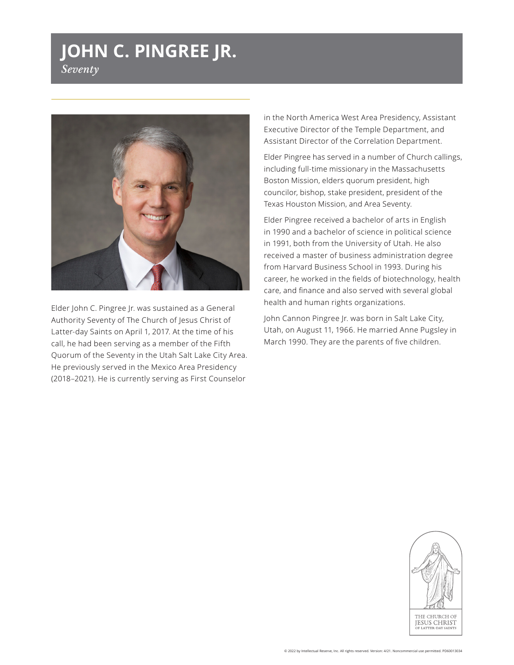## **JOHN C. PINGREE JR.** *Seventy*



Elder John C. Pingree Jr. was sustained as a General Authority Seventy of The Church of Jesus Christ of Latter-day Saints on April 1, 2017. At the time of his call, he had been serving as a member of the Fifth Quorum of the Seventy in the Utah Salt Lake City Area. He previously served in the Mexico Area Presidency (2018–2021). He is currently serving as First Counselor

in the North America West Area Presidency, Assistant Executive Director of the Temple Department, and Assistant Director of the Correlation Department.

Elder Pingree has served in a number of Church callings, including full-time missionary in the Massachusetts Boston Mission, elders quorum president, high councilor, bishop, stake president, president of the Texas Houston Mission, and Area Seventy.

Elder Pingree received a bachelor of arts in English in 1990 and a bachelor of science in political science in 1991, both from the University of Utah. He also received a master of business administration degree from Harvard Business School in 1993. During his career, he worked in the fields of biotechnology, health care, and finance and also served with several global health and human rights organizations.

John Cannon Pingree Jr. was born in Salt Lake City, Utah, on August 11, 1966. He married Anne Pugsley in March 1990. They are the parents of five children.

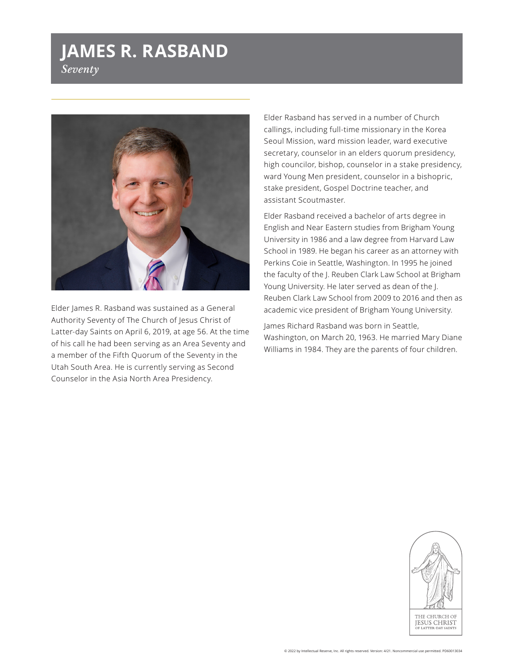## **JAMES R. RASBAND** *Seventy*



Elder James R. Rasband was sustained as a General Authority Seventy of The Church of Jesus Christ of Latter-day Saints on April 6, 2019, at age 56. At the time of his call he had been serving as an Area Seventy and a member of the Fifth Quorum of the Seventy in the Utah South Area. He is currently serving as Second Counselor in the Asia North Area Presidency.

Elder Rasband has served in a number of Church callings, including full-time missionary in the Korea Seoul Mission, ward mission leader, ward executive secretary, counselor in an elders quorum presidency, high councilor, bishop, counselor in a stake presidency, ward Young Men president, counselor in a bishopric, stake president, Gospel Doctrine teacher, and assistant Scoutmaster.

Elder Rasband received a bachelor of arts degree in English and Near Eastern studies from Brigham Young University in 1986 and a law degree from Harvard Law School in 1989. He began his career as an attorney with Perkins Coie in Seattle, Washington. In 1995 he joined the faculty of the J. Reuben Clark Law School at Brigham Young University. He later served as dean of the J. Reuben Clark Law School from 2009 to 2016 and then as academic vice president of Brigham Young University.

James Richard Rasband was born in Seattle, Washington, on March 20, 1963. He married Mary Diane Williams in 1984. They are the parents of four children.